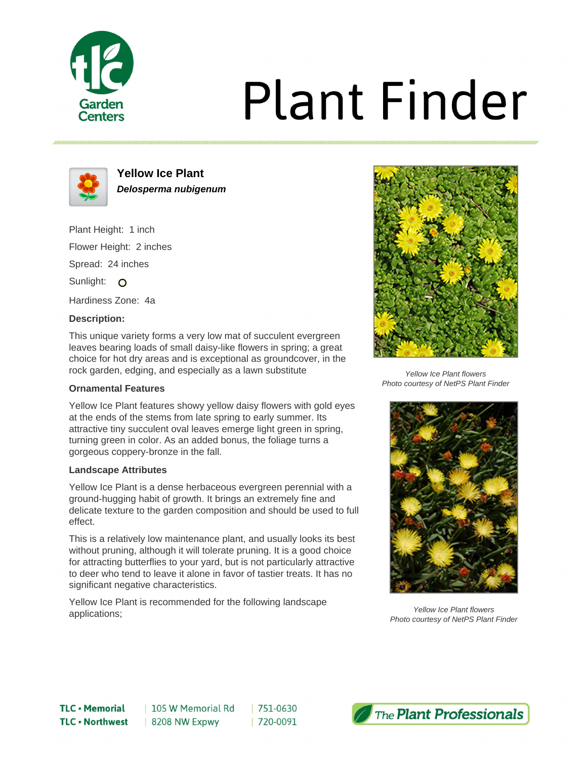

# **Plant Finder**



**Yellow Ice Plant Delosperma nubigenum**

Plant Height: 1 inch Flower Height: 2 inches Spread: 24 inches Sunlight: O

Hardiness Zone: 4a

### **Description:**

This unique variety forms a very low mat of succulent evergreen leaves bearing loads of small daisy-like flowers in spring; a great choice for hot dry areas and is exceptional as groundcover, in the rock garden, edging, and especially as a lawn substitute

### **Ornamental Features**

Yellow Ice Plant features showy yellow daisy flowers with gold eyes at the ends of the stems from late spring to early summer. Its attractive tiny succulent oval leaves emerge light green in spring, turning green in color. As an added bonus, the foliage turns a gorgeous coppery-bronze in the fall.

#### **Landscape Attributes**

Yellow Ice Plant is a dense herbaceous evergreen perennial with a ground-hugging habit of growth. It brings an extremely fine and delicate texture to the garden composition and should be used to full effect.

This is a relatively low maintenance plant, and usually looks its best without pruning, although it will tolerate pruning. It is a good choice for attracting butterflies to your yard, but is not particularly attractive to deer who tend to leave it alone in favor of tastier treats. It has no significant negative characteristics.

 $|751-0630$ 

| 720-0091

Yellow Ice Plant is recommended for the following landscape applications;



Yellow Ice Plant flowers Photo courtesy of NetPS Plant Finder



Yellow Ice Plant flowers Photo courtesy of NetPS Plant Finder